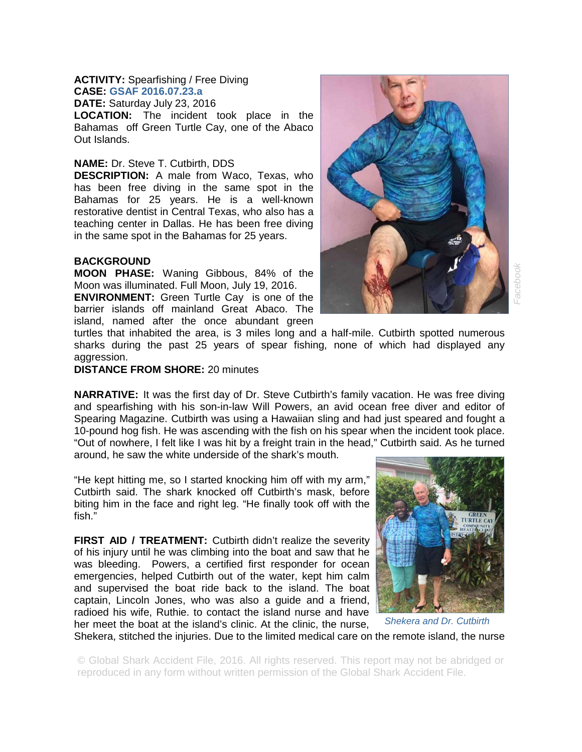## **ACTIVITY:** Spearfishing / Free Diving **CASE: GSAF 2016.07.23.a**

**DATE:** Saturday July 23, 2016 **LOCATION:** The incident took place in the Bahamas off Green Turtle Cay, one of the Abaco Out Islands.

## **NAME:** Dr. Steve T. Cutbirth, DDS

**DESCRIPTION:** A male from Waco, Texas, who has been free diving in the same spot in the Bahamas for 25 years. He is a well-known restorative dentist in Central Texas, who also has a teaching center in Dallas. He has been free diving in the same spot in the Bahamas for 25 years.

## **BACKGROUND**

**MOON PHASE:** Waning Gibbous, 84% of the Moon was illuminated. Full Moon, July 19, 2016.

**ENVIRONMENT:** Green Turtle Cay is one of the barrier islands off mainland Great Abaco. The island, named after the once abundant green

turtles that inhabited the area, is 3 miles long and a half-mile. Cutbirth spotted numerous sharks during the past 25 years of spear fishing, none of which had displayed any aggression.

## **DISTANCE FROM SHORE:** 20 minutes

**NARRATIVE:** It was the first day of Dr. Steve Cutbirth's family vacation. He was free diving and spearfishing with his son-in-law Will Powers, an avid ocean free diver and editor of Spearing Magazine. Cutbirth was using a Hawaiian sling and had just speared and fought a 10-pound hog fish. He was ascending with the fish on his spear when the incident took place. "Out of nowhere, I felt like I was hit by a freight train in the head," Cutbirth said. As he turned around, he saw the white underside of the shark's mouth.

"He kept hitting me, so I started knocking him off with my arm," Cutbirth said. The shark knocked off Cutbirth's mask, before biting him in the face and right leg. "He finally took off with the fish."

**FIRST AID / TREATMENT:** Cutbirth didn't realize the severity of his injury until he was climbing into the boat and saw that he was bleeding. Powers, a certified first responder for ocean emergencies, helped Cutbirth out of the water, kept him calm and supervised the boat ride back to the island. The boat captain, Lincoln Jones, who was also a guide and a friend, radioed his wife, Ruthie. to contact the island nurse and have her meet the boat at the island's clinic. At the clinic, the nurse,





Shekera, stitched the injuries. Due to the limited medical care on the remote island, the nurse *Shekera and Dr. Cutbirth* 

© Global Shark Accident File, 2016. All rights reserved. This report may not be abridged or reproduced in any form without written permission of the Global Shark Accident File.